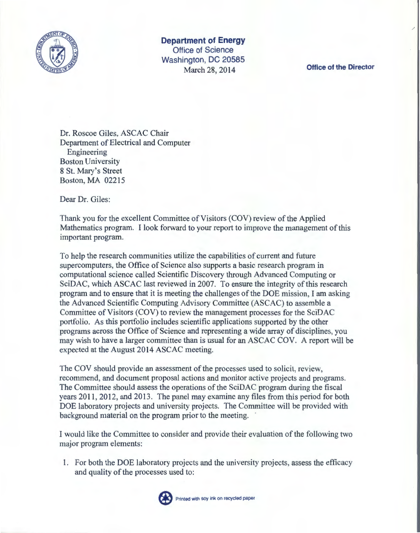

**Department of Energy Office of Science Washington, DC 20585**  March 28, 2014 **Office of the Director** 

Dr. Roscoe Giles, ASCAC Chair Department of Electrical and Computer Engineering Boston University 8 St. Mary's Street Boston, MA 02215

Dear Dr. Giles:

Thank you for the excellent Committee of Visitors (COV) review of the Applied Mathematics program. I look forward to your report to improve the management of this important program.

To help the research communities utilize the capabilities of current and future supercomputers, the Office of Science also supports a basic research program in computational science called Scientific Discovery through Advanced Computing or SciDAC, which ASCAC last reviewed in 2007. To ensure the integrity of this research program and to ensure that it is meeting the challenges ofthe DOE mission, I am asking the Advanced Scientific Computing Advisory Committee (ASCAC) to assemble a Committee of Visitors (COV) to review the management processes for the SciDAC portfolio. As this portfolio includes scientific applications supported by the other programs across the Office of Science and representing a wide array of disciplines, you may wish to have a larger committee than is usual for an ASCAC COV. A report will be expected at the August 2014 ASCAC meeting.

The COV should provide an assessment of the processes used to solicit, review, recommend, and document proposal actions and monitor active projects and programs. The Committee should assess the operations of the SciDAC program during the fiscal years 2011, 2012, and 2013. The panel may examine any files from this period for both DOE laboratory projects and university projects. The Committee will be provided with background material on the program prior to the meeting.

I would like the Committee to consider and provide their evaluation of the following two major program elements:

1. For both the DOE laboratory projects and the university projects, assess the efficacy and quality of the processes used to:



Printed with soy ink on recycled paper